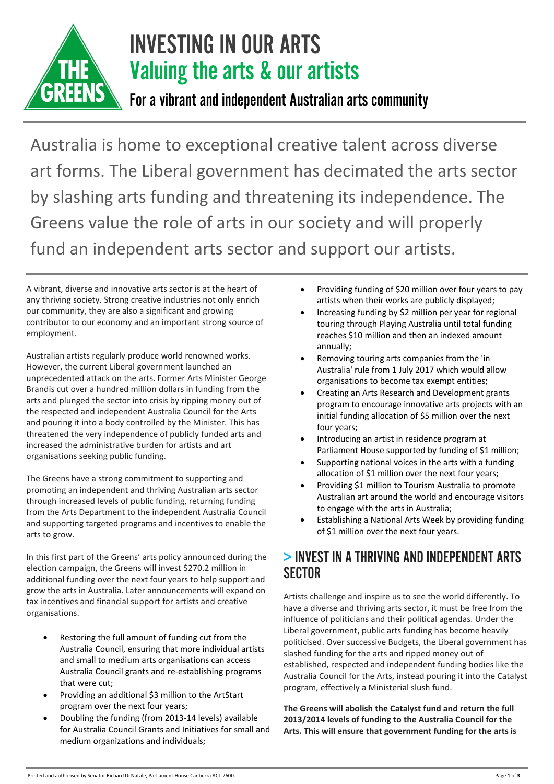

# INVESTING IN OUR ARTS Valuing the arts & our artists

For a vibrant and independent Australian arts community

Australia is home to exceptional creative talent across diverse art forms. The Liberal government has decimated the arts sector by slashing arts funding and threatening its independence. The Greens value the role of arts in our society and will properly fund an independent arts sector and support our artists.

A vibrant, diverse and innovative arts sector is at the heart of any thriving society. Strong creative industries not only enrich our community, they are also a significant and growing contributor to our economy and an important strong source of employment.

Australian artists regularly produce world renowned works. However, the current Liberal government launched an unprecedented attack on the arts. Former Arts Minister George Brandis cut over a hundred million dollars in funding from the arts and plunged the sector into crisis by ripping money out of the respected and independent Australia Council for the Arts and pouring it into a body controlled by the Minister. This has threatened the very independence of publicly funded arts and increased the administrative burden for artists and art organisations seeking public funding.

The Greens have a strong commitment to supporting and promoting an independent and thriving Australian arts sector through increased levels of public funding, returning funding from the Arts Department to the independent Australia Council and supporting targeted programs and incentives to enable the arts to grow.

In this first part of the Greens' arts policy announced during the election campaign, the Greens will invest \$270.2 million in additional funding over the next four years to help support and grow the arts in Australia. Later announcements will expand on tax incentives and financial support for artists and creative organisations.

- Restoring the full amount of funding cut from the Australia Council, ensuring that more individual artists and small to medium arts organisations can access Australia Council grants and re-establishing programs that were cut;
- Providing an additional \$3 million to the ArtStart program over the next four years;
- Doubling the funding (from 2013-14 levels) available for Australia Council Grants and Initiatives for small and medium organizations and individuals;
- Providing funding of \$20 million over four years to pay artists when their works are publicly displayed;
- Increasing funding by \$2 million per year for regional touring through Playing Australia until total funding reaches \$10 million and then an indexed amount annually;
- Removing touring arts companies from the 'in Australia' rule from 1 July 2017 which would allow organisations to become tax exempt entities;
- Creating an Arts Research and Development grants program to encourage innovative arts projects with an initial funding allocation of \$5 million over the next four years;
- Introducing an artist in residence program at Parliament House supported by funding of \$1 million;
- Supporting national voices in the arts with a funding allocation of \$1 million over the next four years;
- Providing \$1 million to Tourism Australia to promote Australian art around the world and encourage visitors to engage with the arts in Australia;
- Establishing a National Arts Week by providing funding of \$1 million over the next four years.

#### > INVEST IN A THRIVING AND INDEPENDENT ARTS **SECTOR**

Artists challenge and inspire us to see the world differently. To have a diverse and thriving arts sector, it must be free from the influence of politicians and their political agendas. Under the Liberal government, public arts funding has become heavily politicised. Over successive Budgets, the Liberal government has slashed funding for the arts and ripped money out of established, respected and independent funding bodies like the Australia Council for the Arts, instead pouring it into the Catalyst program, effectively a Ministerial slush fund.

**The Greens will abolish the Catalyst fund and return the full 2013/2014 levels of funding to the Australia Council for the Arts. This will ensure that government funding for the arts is**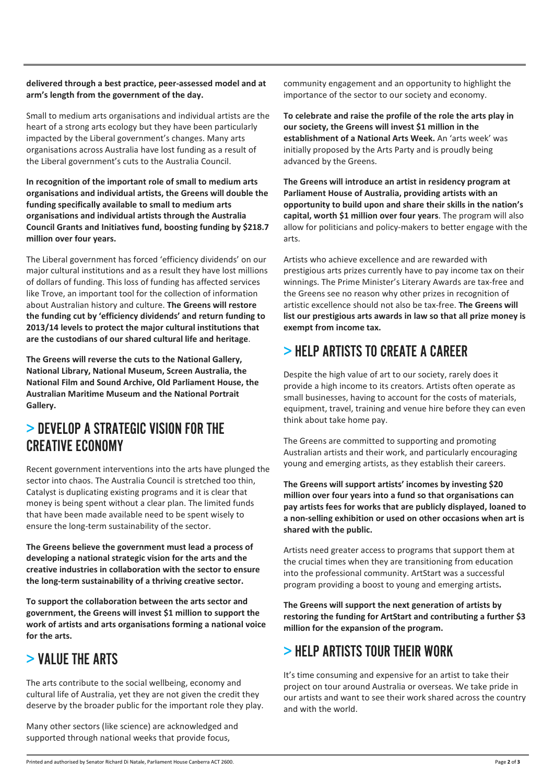#### **delivered through a best practice, peer-assessed model and at arm's length from the government of the day.**

Small to medium arts organisations and individual artists are the heart of a strong arts ecology but they have been particularly impacted by the Liberal government's changes. Many arts organisations across Australia have lost funding as a result of the Liberal government's cuts to the Australia Council.

**In recognition of the important role of small to medium arts organisations and individual artists, the Greens will double the funding specifically available to small to medium arts organisations and individual artists through the Australia Council Grants and Initiatives fund, boosting funding by \$218.7 million over four years.**

The Liberal government has forced 'efficiency dividends' on our major cultural institutions and as a result they have lost millions of dollars of funding. This loss of funding has affected services like Trove, an important tool for the collection of information about Australian history and culture. **The Greens will restore the funding cut by 'efficiency dividends' and return funding to 2013/14 levels to protect the major cultural institutions that are the custodians of our shared cultural life and heritage**.

**The Greens will reverse the cuts to the National Gallery, National Library, National Museum, Screen Australia, the National Film and Sound Archive, Old Parliament House, the Australian Maritime Museum and the National Portrait Gallery.**

#### > DEVELOP A STRATEGIC VISION FOR THE CREATIVE ECONOMY

Recent government interventions into the arts have plunged the sector into chaos. The Australia Council is stretched too thin, Catalyst is duplicating existing programs and it is clear that money is being spent without a clear plan. The limited funds that have been made available need to be spent wisely to ensure the long-term sustainability of the sector.

**The Greens believe the government must lead a process of developing a national strategic vision for the arts and the creative industries in collaboration with the sector to ensure the long-term sustainability of a thriving creative sector.**

**To support the collaboration between the arts sector and government, the Greens will invest \$1 million to support the work of artists and arts organisations forming a national voice for the arts.**

# > VALUE THE ARTS

The arts contribute to the social wellbeing, economy and cultural life of Australia, yet they are not given the credit they deserve by the broader public for the important role they play.

Many other sectors (like science) are acknowledged and supported through national weeks that provide focus,

community engagement and an opportunity to highlight the importance of the sector to our society and economy.

**To celebrate and raise the profile of the role the arts play in our society, the Greens will invest \$1 million in the establishment of a National Arts Week.** An 'arts week' was initially proposed by the Arts Party and is proudly being advanced by the Greens.

**The Greens will introduce an artist in residency program at Parliament House of Australia, providing artists with an opportunity to build upon and share their skills in the nation's capital, worth \$1 million over four years**. The program will also allow for politicians and policy-makers to better engage with the arts.

Artists who achieve excellence and are rewarded with prestigious arts prizes currently have to pay income tax on their winnings. The Prime Minister's Literary Awards are tax-free and the Greens see no reason why other prizes in recognition of artistic excellence should not also be tax-free. **The Greens will list our prestigious arts awards in law so that all prize money is exempt from income tax.** 

# > HELP ARTISTS TO CREATE A CAREER

Despite the high value of art to our society, rarely does it provide a high income to its creators. Artists often operate as small businesses, having to account for the costs of materials, equipment, travel, training and venue hire before they can even think about take home pay.

The Greens are committed to supporting and promoting Australian artists and their work, and particularly encouraging young and emerging artists, as they establish their careers.

**The Greens will support artists' incomes by investing \$20 million over four years into a fund so that organisations can pay artists fees for works that are publicly displayed, loaned to a non-selling exhibition or used on other occasions when art is shared with the public.**

Artists need greater access to programs that support them at the crucial times when they are transitioning from education into the professional community. ArtStart was a successful program providing a boost to young and emerging artists**.** 

**The Greens will support the next generation of artists by restoring the funding for ArtStart and contributing a further \$3 million for the expansion of the program.**

#### $>$  HELP ARTISTS TOUR THEIR WORK

It's time consuming and expensive for an artist to take their project on tour around Australia or overseas. We take pride in our artists and want to see their work shared across the country and with the world.